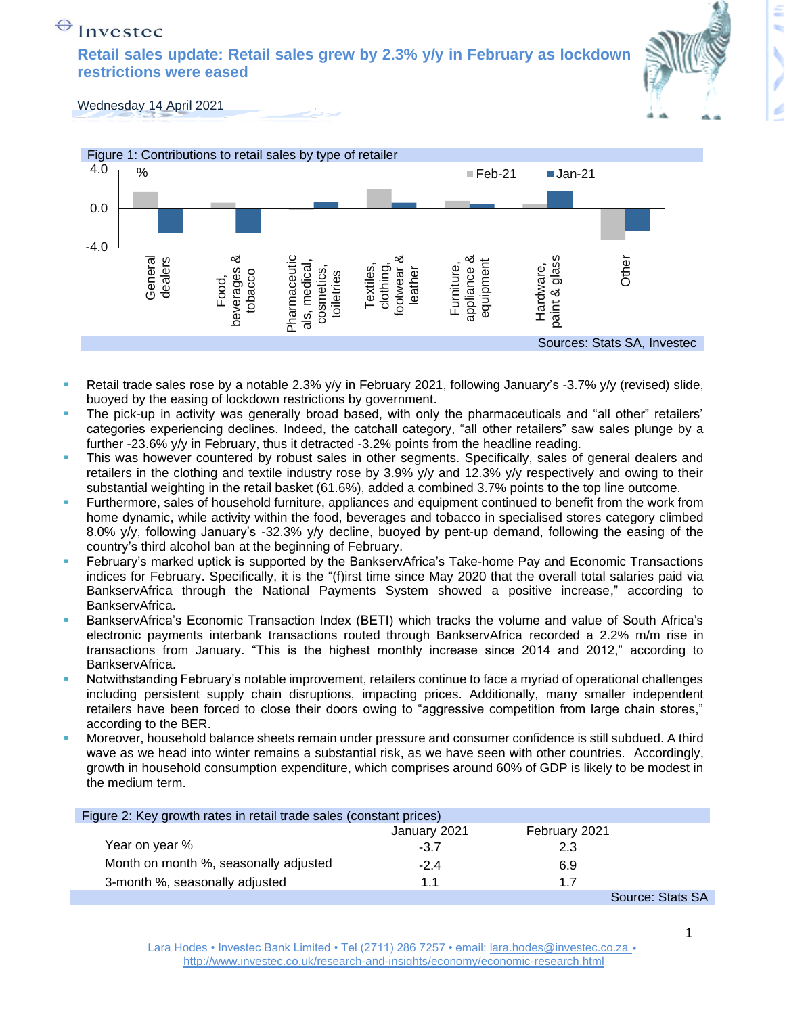## $\bigoplus$  Investec

**Retail sales update: Retail sales grew by 2.3% y/y in February as lockdown restrictions were eased**



Wednesday 14 April 2021



- Retail trade sales rose by a notable 2.3% y/y in February 2021, following January's -3.7% y/y (revised) slide, buoyed by the easing of lockdown restrictions by government.
- The pick-up in activity was generally broad based, with only the pharmaceuticals and "all other" retailers' categories experiencing declines. Indeed, the catchall category, "all other retailers" saw sales plunge by a further -23.6% y/y in February, thus it detracted -3.2% points from the headline reading.
- This was however countered by robust sales in other segments. Specifically, sales of general dealers and retailers in the clothing and textile industry rose by 3.9% y/y and 12.3% y/y respectively and owing to their substantial weighting in the retail basket (61.6%), added a combined 3.7% points to the top line outcome.
- Furthermore, sales of household furniture, appliances and equipment continued to benefit from the work from home dynamic, while activity within the food, beverages and tobacco in specialised stores category climbed 8.0% y/y, following January's -32.3% y/y decline, buoyed by pent-up demand, following the easing of the country's third alcohol ban at the beginning of February.
- February's marked uptick is supported by the BankservAfrica's Take-home Pay and Economic Transactions indices for February. Specifically, it is the "(f)irst time since May 2020 that the overall total salaries paid via BankservAfrica through the National Payments System showed a positive increase," according to BankservAfrica.
- BankservAfrica's Economic Transaction Index (BETI) which tracks the volume and value of South Africa's electronic payments interbank transactions routed through BankservAfrica recorded a 2.2% m/m rise in transactions from January. "This is the highest monthly increase since 2014 and 2012," according to BankservAfrica.
- Notwithstanding February's notable improvement, retailers continue to face a myriad of operational challenges including persistent supply chain disruptions, impacting prices. Additionally, many smaller independent retailers have been forced to close their doors owing to "aggressive competition from large chain stores," according to the BER.
- Moreover, household balance sheets remain under pressure and consumer confidence is still subdued. A third wave as we head into winter remains a substantial risk, as we have seen with other countries. Accordingly, growth in household consumption expenditure, which comprises around 60% of GDP is likely to be modest in the medium term.

| Figure 2: Key growth rates in retail trade sales (constant prices) |              |               |                  |
|--------------------------------------------------------------------|--------------|---------------|------------------|
|                                                                    | January 2021 | February 2021 |                  |
| Year on year %                                                     | $-3.7$       | 2.3           |                  |
| Month on month %, seasonally adjusted                              | $-2.4$       | 6.9           |                  |
| 3-month %, seasonally adjusted                                     | 1.1          | 1.7           |                  |
|                                                                    |              |               | Source: Stats SA |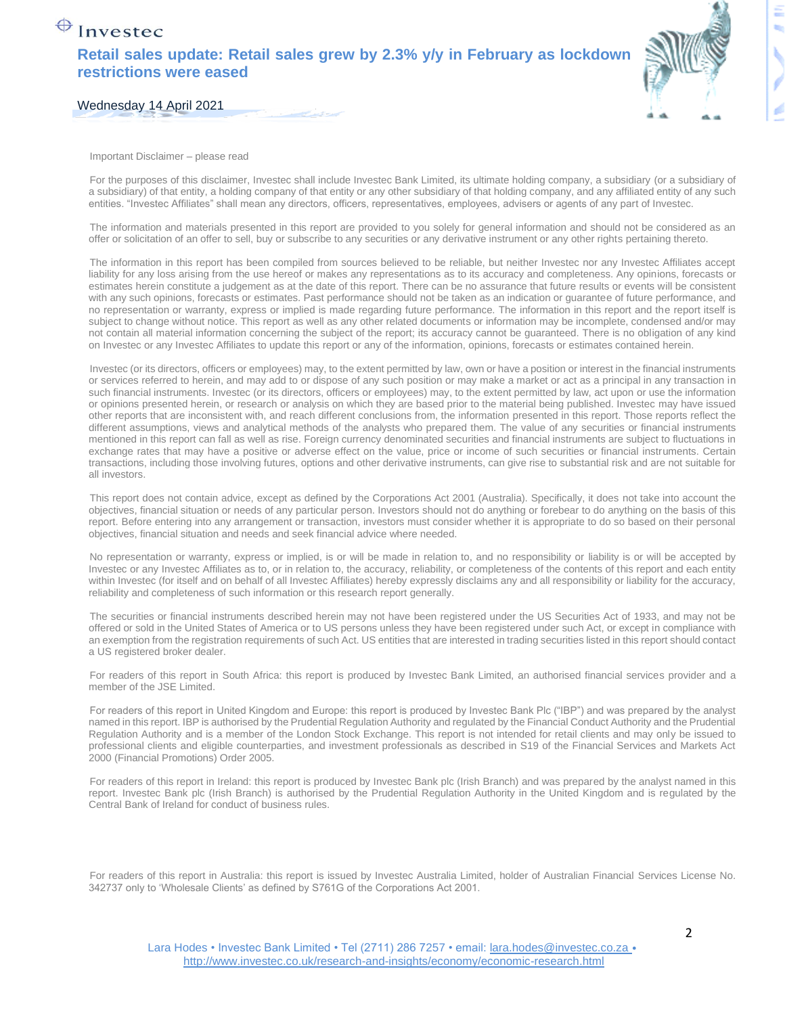## $\bigoplus$  Investec **Retail sales update: Retail sales grew by 2.3% y/y in February as lockdown restrictions were eased**



Wednesday 14 April 2021

Important Disclaimer – please read

For the purposes of this disclaimer, Investec shall include Investec Bank Limited, its ultimate holding company, a subsidiary (or a subsidiary of a subsidiary) of that entity, a holding company of that entity or any other subsidiary of that holding company, and any affiliated entity of any such entities. "Investec Affiliates" shall mean any directors, officers, representatives, employees, advisers or agents of any part of Investec.

The information and materials presented in this report are provided to you solely for general information and should not be considered as an offer or solicitation of an offer to sell, buy or subscribe to any securities or any derivative instrument or any other rights pertaining thereto.

The information in this report has been compiled from sources believed to be reliable, but neither Investec nor any Investec Affiliates accept liability for any loss arising from the use hereof or makes any representations as to its accuracy and completeness. Any opinions, forecasts or estimates herein constitute a judgement as at the date of this report. There can be no assurance that future results or events will be consistent with any such opinions, forecasts or estimates. Past performance should not be taken as an indication or guarantee of future performance, and no representation or warranty, express or implied is made regarding future performance. The information in this report and the report itself is subject to change without notice. This report as well as any other related documents or information may be incomplete, condensed and/or may not contain all material information concerning the subject of the report; its accuracy cannot be guaranteed. There is no obligation of any kind on Investec or any Investec Affiliates to update this report or any of the information, opinions, forecasts or estimates contained herein.

Investec (or its directors, officers or employees) may, to the extent permitted by law, own or have a position or interest in the financial instruments or services referred to herein, and may add to or dispose of any such position or may make a market or act as a principal in any transaction in such financial instruments. Investec (or its directors, officers or employees) may, to the extent permitted by law, act upon or use the information or opinions presented herein, or research or analysis on which they are based prior to the material being published. Investec may have issued other reports that are inconsistent with, and reach different conclusions from, the information presented in this report. Those reports reflect the different assumptions, views and analytical methods of the analysts who prepared them. The value of any securities or financial instruments mentioned in this report can fall as well as rise. Foreign currency denominated securities and financial instruments are subject to fluctuations in exchange rates that may have a positive or adverse effect on the value, price or income of such securities or financial instruments. Certain transactions, including those involving futures, options and other derivative instruments, can give rise to substantial risk and are not suitable for all investors.

This report does not contain advice, except as defined by the Corporations Act 2001 (Australia). Specifically, it does not take into account the objectives, financial situation or needs of any particular person. Investors should not do anything or forebear to do anything on the basis of this report. Before entering into any arrangement or transaction, investors must consider whether it is appropriate to do so based on their personal objectives, financial situation and needs and seek financial advice where needed.

No representation or warranty, express or implied, is or will be made in relation to, and no responsibility or liability is or will be accepted by Investec or any Investec Affiliates as to, or in relation to, the accuracy, reliability, or completeness of the contents of this report and each entity within Investec (for itself and on behalf of all Investec Affiliates) hereby expressly disclaims any and all responsibility or liability for the accuracy, reliability and completeness of such information or this research report generally.

The securities or financial instruments described herein may not have been registered under the US Securities Act of 1933, and may not be offered or sold in the United States of America or to US persons unless they have been registered under such Act, or except in compliance with an exemption from the registration requirements of such Act. US entities that are interested in trading securities listed in this report should contact a US registered broker dealer.

For readers of this report in South Africa: this report is produced by Investec Bank Limited, an authorised financial services provider and a member of the JSE Limited.

For readers of this report in United Kingdom and Europe: this report is produced by Investec Bank Plc ("IBP") and was prepared by the analyst named in this report. IBP is authorised by the Prudential Regulation Authority and regulated by the Financial Conduct Authority and the Prudential Regulation Authority and is a member of the London Stock Exchange. This report is not intended for retail clients and may only be issued to professional clients and eligible counterparties, and investment professionals as described in S19 of the Financial Services and Markets Act 2000 (Financial Promotions) Order 2005.

For readers of this report in Ireland: this report is produced by Investec Bank plc (Irish Branch) and was prepared by the analyst named in this report. Investec Bank plc (Irish Branch) is authorised by the Prudential Regulation Authority in the United Kingdom and is regulated by the Central Bank of Ireland for conduct of business rules.

For readers of this report in Australia: this report is issued by Investec Australia Limited, holder of Australian Financial Services License No. 342737 only to 'Wholesale Clients' as defined by S761G of the Corporations Act 2001.